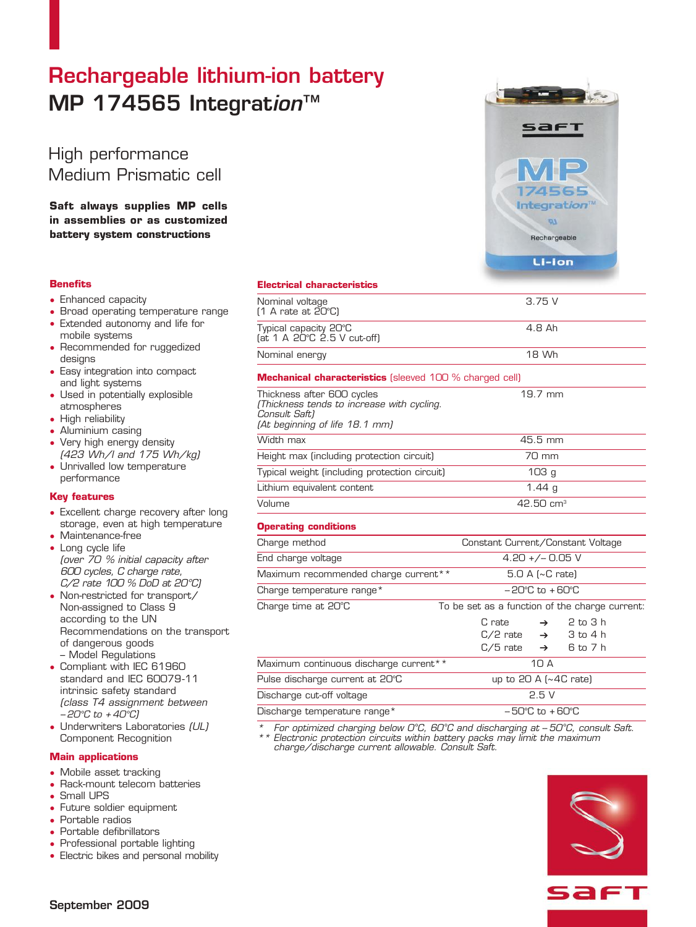# Rechargeable lithium-ion battery MP 174565 Integration™

High performance Medium Prismatic cell

**Saft always supplies MP cells in assemblies or as customized battery system constructions**

# **Benefits**

- Enhanced capacity
- Broad operating temperature range
- Extended autonomy and life for mobile systems
- Recommended for ruggedized designs
- Easy integration into compact and light systems
- Used in potentially explosible atmospheres
- High reliability
- Aluminium casing
- Very high energy density (423 Wh/l and 175 Wh/kg)
- Unrivalled low temperature performance

# **Key features**

- Excellent charge recovery after long storage, even at high temperature
- Maintenance-free
- Long cycle life (over 70 % initial capacity after 600 cycles, C charge rate, C/2 rate 100 % DoD at 20°C)
- Non-restricted for transport/ Non-assigned to Class 9 according to the UN Recommendations on the transport of dangerous goods – Model Regulations
- Compliant with IEC 61960 standard and IEC 60079-11 intrinsic safety standard (class T4 assignment between -- 20*°*C to + 40*°*C)
- Underwriters Laboratories (UL) Component Recognition

# **Main applications**

- Mobile asset tracking
- Rack-mount telecom batteries
- Small UPS
- Future soldier equipment
- Portable radios
- Portable defibrillators
- Professional portable lighting
- Electric bikes and personal mobility



| $(1 \text{ A rate at } 20^{\circ} \text{C})$                                                                                |                                                |                                |                                                                   |  |
|-----------------------------------------------------------------------------------------------------------------------------|------------------------------------------------|--------------------------------|-------------------------------------------------------------------|--|
| Typical capacity 20°C<br>(at $1 \text{ A } 20^{\circ}$ C $2.5 \text{ V }$ cut-off)                                          | 4.8 Ah                                         |                                |                                                                   |  |
| Nominal energy                                                                                                              | 18 Wh                                          |                                |                                                                   |  |
| <b>Mechanical characteristics</b> (sleeved 100 % charged cell)                                                              |                                                |                                |                                                                   |  |
| Thickness after 600 cycles<br>(Thickness tends to increase with cycling.<br>Consult Saft)<br>(At beginning of life 18.1 mm) |                                                | 19.7 mm                        |                                                                   |  |
| Width max                                                                                                                   | 45.5 mm                                        |                                |                                                                   |  |
| Height max (including protection circuit)                                                                                   | 70 mm                                          |                                |                                                                   |  |
| Typical weight (including protection circuit)                                                                               | 103 <sub>g</sub>                               |                                |                                                                   |  |
| Lithium equivalent content                                                                                                  | 1.44 $q$                                       |                                |                                                                   |  |
| Volume                                                                                                                      | $42.50 \text{ cm}^3$                           |                                |                                                                   |  |
| <b>Operating conditions</b>                                                                                                 |                                                |                                |                                                                   |  |
| Charge method                                                                                                               | Constant Current/Constant Voltage              |                                |                                                                   |  |
| End charge voltage                                                                                                          | $4.20 +/- 0.05$ V                              |                                |                                                                   |  |
| Maximum recommended charge current**                                                                                        | 5.0 A (~C rate)                                |                                |                                                                   |  |
| Charge temperature range*                                                                                                   | $-20^{\circ}$ C to $+60^{\circ}$ C             |                                |                                                                   |  |
| Charge time at 20°C                                                                                                         | To be set as a function of the charge current: |                                |                                                                   |  |
|                                                                                                                             | C rate<br>C/2 rate<br>C/5 rate                 | $\rightarrow$<br>$\rightarrow$ | $2 \text{ to } 3 \text{ h}$<br>$\rightarrow$ 3 to 4 h<br>6 to 7 h |  |
| $M$ avimum continuous discharge current $*$                                                                                 |                                                | 1 Q A                          |                                                                   |  |

Nominal voltage 3.75 V

# **Electrical characteristics**

| onarge anne ac Lo o                    | TO DC 300 G3 G TONOMON OF GNC CHOI GC CONTCHIO. |  |  |  |
|----------------------------------------|-------------------------------------------------|--|--|--|
|                                        | $2$ to $3$ h<br>C rate<br>$\rightarrow$         |  |  |  |
|                                        | 3 to 4 h<br>C/2 rate $\rightarrow$              |  |  |  |
|                                        | $C/5$ rate $\rightarrow$ 6 to 7 h               |  |  |  |
| Maximum continuous discharge current** | 10 A                                            |  |  |  |
| Pulse discharge current at 20°C        | up to $20$ A $\sim$ 4C rate)                    |  |  |  |
| Discharge cut-off voltage              | 2.5V                                            |  |  |  |
| Discharge temperature range*           | $-50^{\circ}$ C to $+60^{\circ}$ C              |  |  |  |

\* For optimized charging below 0*°*C, 60*°*C and discharging at -- 50*°*C, consult Saft.

\*\* Electronic protection circuits within battery packs may limit the maximum charge/discharge current allowable. Consult Saft.